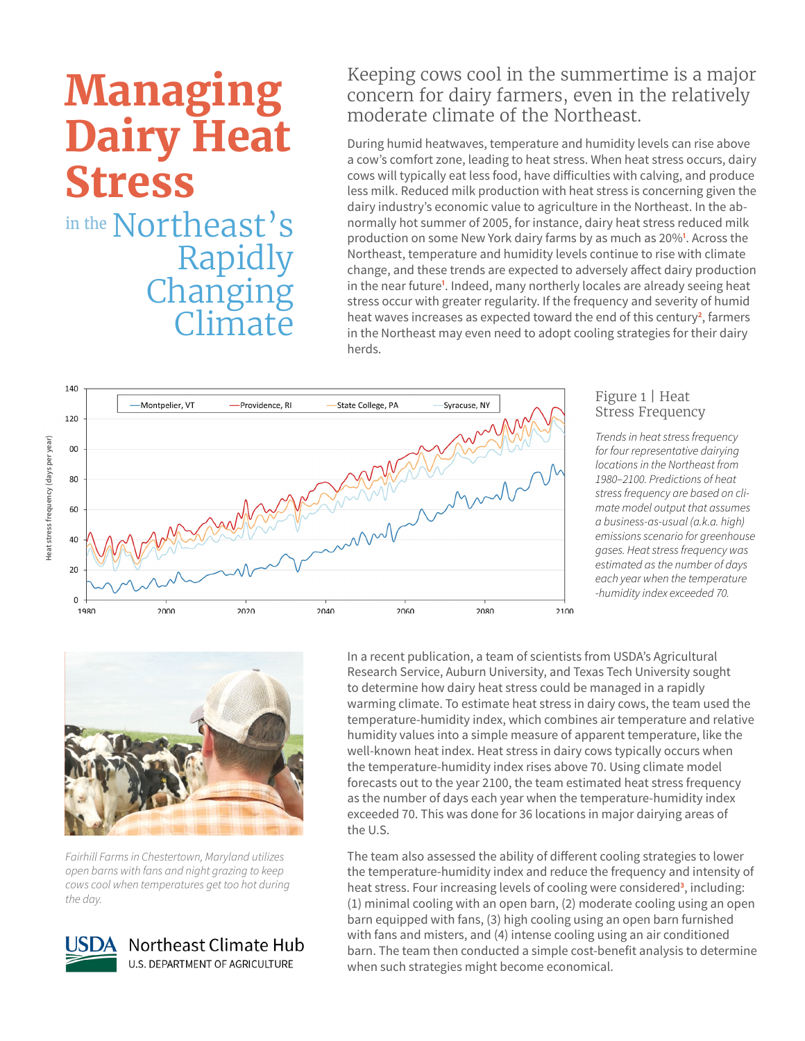# **Managing Dairy Heat Stress** in the Northeast's Rapidly Changing **Climate**

## Keeping cows cool in the summertime is a major concern for dairy farmers, even in the relatively moderate climate of the Northeast.

During humid heatwaves, temperature and humidity levels can rise above a cow's comfort zone, leading to heat stress. When heat stress occurs, dairy cows will typically eat less food, have difficulties with calving, and produce less milk. Reduced milk production with heat stress is concerning given the dairy industry's economic value to agriculture in the Northeast. In the abnormally hot summer of 2005, for instance, dairy heat stress reduced milk production on some New York dairy farms by as much as 20%**<sup>1</sup>** . Across the Northeast, temperature and humidity levels continue to rise with climate change, and these trends are expected to adversely affect dairy production in the near future<sup>1</sup>. Indeed, many northerly locales are already seeing heat stress occur with greater regularity. If the frequency and severity of humid heat waves increases as expected toward the end of this century<sup>2</sup>, farmers in the Northeast may even need to adopt cooling strategies for their dairy herds.



#### Figure 1 | Heat Stress Frequency

*Trends in heat stress frequency for four representative dairying locations in the Northeast from 1980–2100. Predictions of heat stress frequency are based on climate model output that assumes a business-as-usual (a.k.a. high) emissions scenario for greenhouse gases. Heat stress frequency was estimated as the number of days each year when the temperature -humidity index exceeded 70.*



*Fairhill Farms in Chestertown, Maryland utilizes open barns with fans and night grazing to keep cows cool when temperatures get too hot during the day.*



In a recent publication, a team of scientists from USDA's Agricultural Research Service, Auburn University, and Texas Tech University sought to determine how dairy heat stress could be managed in a rapidly warming climate. To estimate heat stress in dairy cows, the team used the temperature-humidity index, which combines air temperature and relative humidity values into a simple measure of apparent temperature, like the well-known heat index. Heat stress in dairy cows typically occurs when the temperature-humidity index rises above 70. Using climate model forecasts out to the year 2100, the team estimated heat stress frequency as the number of days each year when the temperature-humidity index exceeded 70. This was done for 36 locations in major dairying areas of the U.S.

The team also assessed the ability of different cooling strategies to lower the temperature-humidity index and reduce the frequency and intensity of heat stress. Four increasing levels of cooling were considered**<sup>3</sup>** , including: (1) minimal cooling with an open barn, (2) moderate cooling using an open barn equipped with fans, (3) high cooling using an open barn furnished with fans and misters, and (4) intense cooling using an air conditioned barn. The team then conducted a simple cost-benefit analysis to determine when such strategies might become economical.